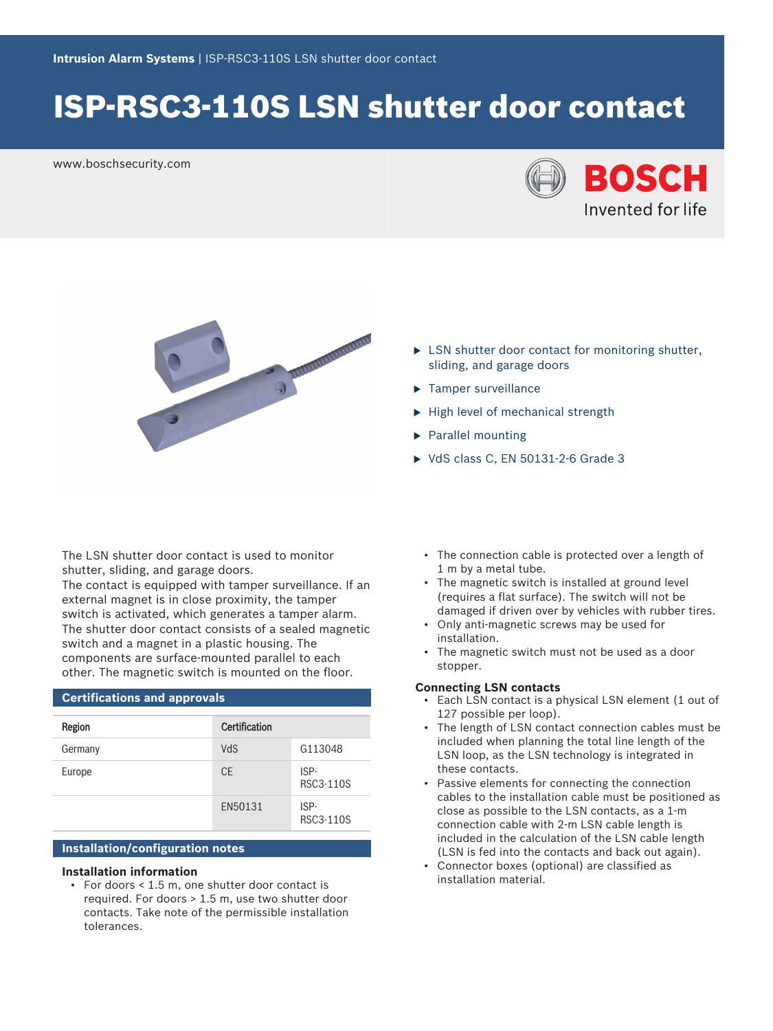# ISP-RSC3-110S LSN shutter door contact

www.boschsecurity.com





- $\blacktriangleright$  LSN shutter door contact for monitoring shutter, sliding, and garage doors
- $\blacktriangleright$  Tamper surveillance
- $\blacktriangleright$  High level of mechanical strength
- $\blacktriangleright$  Parallel mounting
- $\triangleright$  VdS class C, EN 50131-2-6 Grade 3

The LSN shutter door contact is used to monitor shutter, sliding, and garage doors.

The contact is equipped with tamper surveillance. If an external magnet is in close proximity, the tamper switch is activated, which generates a tamper alarm. The shutter door contact consists of a sealed magnetic switch and a magnet in a plastic housing. The components are surface-mounted parallel to each other. The magnetic switch is mounted on the floor.

## **Certifications and approvals** Region **Certification** Germany VdS G113048 Europe CE ISP-RSC3-110S EN50131 ISP-RSC3-110S

### **Installation/configuration notes**

#### **Installation information**

• For doors < 1.5 m, one shutter door contact is required. For doors > 1.5 m, use two shutter door contacts. Take note of the permissible installation tolerances.

- The connection cable is protected over a length of 1 m by a metal tube.
- The magnetic switch is installed at ground level (requires a flat surface). The switch will not be damaged if driven over by vehicles with rubber tires.
- Only anti-magnetic screws may be used for installation.
- The magnetic switch must not be used as a door stopper.

#### **Connecting LSN contacts**

- Each LSN contact is a physical LSN element (1 out of 127 possible per loop).
- The length of LSN contact connection cables must be included when planning the total line length of the LSN loop, as the LSN technology is integrated in these contacts.
- Passive elements for connecting the connection cables to the installation cable must be positioned as close as possible to the LSN contacts, as a 1-m connection cable with 2-m LSN cable length is included in the calculation of the LSN cable length (LSN is fed into the contacts and back out again).
- Connector boxes (optional) are classified as installation material.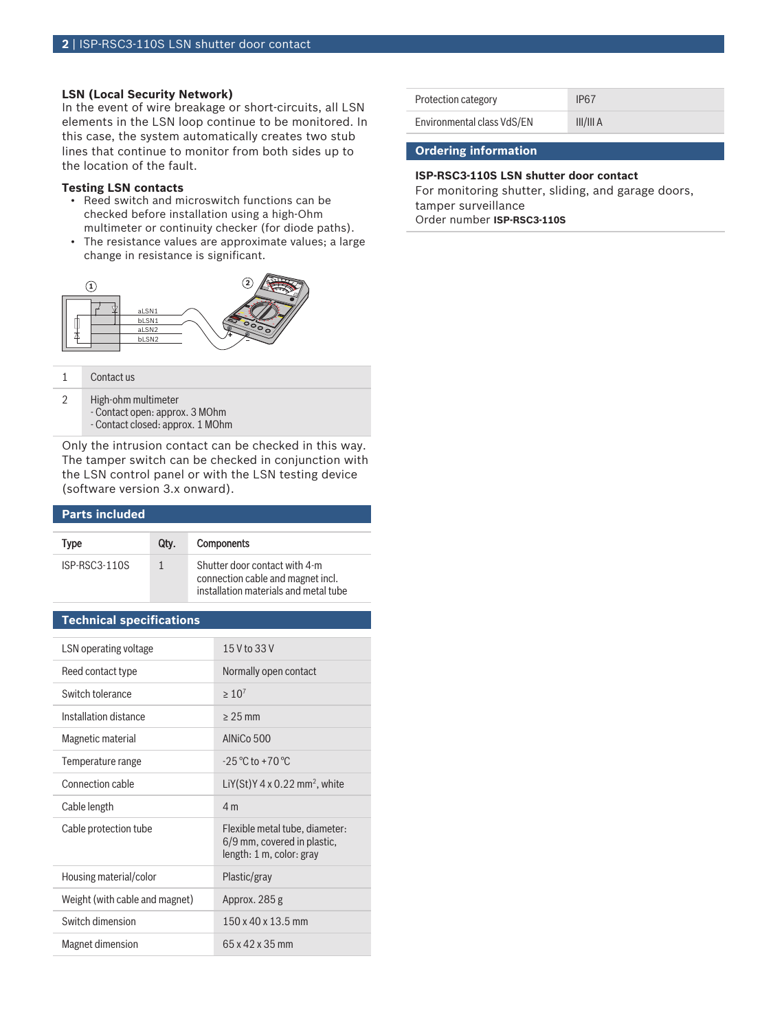### **LSN (Local Security Network)**

In the event of wire breakage or short-circuits, all LSN elements in the LSN loop continue to be monitored. In this case, the system automatically creates two stub lines that continue to monitor from both sides up to the location of the fault.

#### **Testing LSN contacts**

- Reed switch and microswitch functions can be checked before installation using a high-Ohm multimeter or continuity checker (for diode paths).
- The resistance values are approximate values; a large change in resistance is significant.



1 Contact us

- 2 High-ohm multimeter
	- Contact open: approx. 3 MOhm
	- Contact closed: approx. 1 MOhm

Only the intrusion contact can be checked in this way. The tamper switch can be checked in conjunction with the LSN control panel or with the LSN testing device (software version 3.x onward).

#### **Parts included**

| Type            | Qtv. | <b>Components</b>                                                                                           |
|-----------------|------|-------------------------------------------------------------------------------------------------------------|
| $ISP-RSC3-110S$ |      | Shutter door contact with 4-m<br>connection cable and magnet incl.<br>installation materials and metal tube |

#### **Technical specifications**

| LSN operating voltage          | 15 V to 33 V                                                                                         |
|--------------------------------|------------------------------------------------------------------------------------------------------|
| Reed contact type              | Normally open contact                                                                                |
| Switch tolerance               | $>10^{7}$                                                                                            |
| Installation distance          | $> 25$ mm                                                                                            |
| Magnetic material              | AINiCo 500                                                                                           |
| Temperature range              | $-25^{\circ}$ C to $+70^{\circ}$ C                                                                   |
| Connection cable               | LiY(St)Y 4 x 0.22 mm <sup>2</sup> , white                                                            |
| Cable length                   | 4 <sub>m</sub>                                                                                       |
| Cable protection tube          | Flexible metal tube, diameter:<br>6/9 mm, covered in plastic,<br>length: $1 \text{ m}$ , color: gray |
| Housing material/color         | Plastic/gray                                                                                         |
| Weight (with cable and magnet) | Approx. 285 g                                                                                        |
| Switch dimension               | 150 x 40 x 13.5 mm                                                                                   |
| Magnet dimension               | $65 \times 42 \times 35$ mm                                                                          |

| Protection category        | IP <sub>67</sub> |
|----------------------------|------------------|
| Environmental class VdS/EN | III/III A        |

#### **Ordering information**

### **ISP-RSC3-110S LSN shutter door contact**

For monitoring shutter, sliding, and garage doors, tamper surveillance Order number **ISP-RSC3-110S**